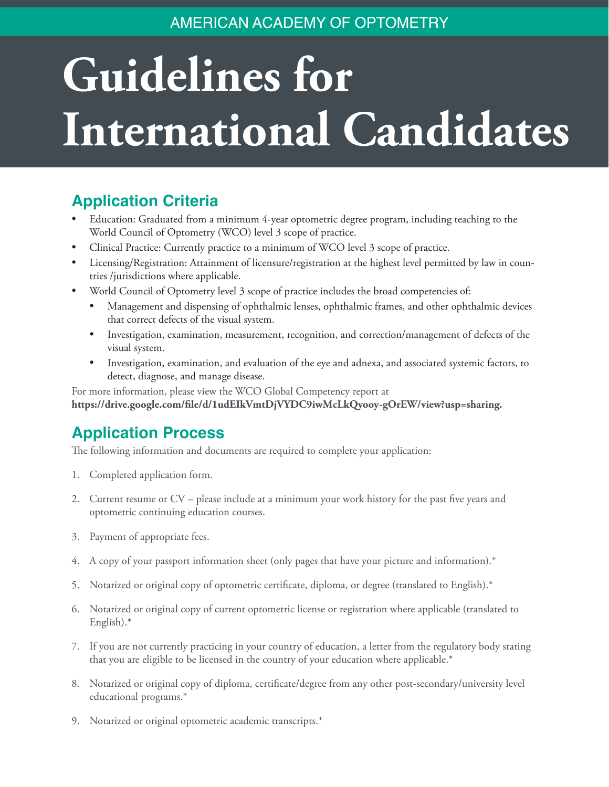#### AMERICAN ACADEMY OF OPTOMETRY

# **Guidelines for International Candidates**

### **Application Criteria**

- Education: Graduated from a minimum 4-year optometric degree program, including teaching to the World Council of Optometry (WCO) level 3 scope of practice.
- Clinical Practice: Currently practice to a minimum of WCO level 3 scope of practice.
- Licensing/Registration: Attainment of licensure/registration at the highest level permitted by law in countries /jurisdictions where applicable.
- World Council of Optometry level 3 scope of practice includes the broad competencies of:
	- Management and dispensing of ophthalmic lenses, ophthalmic frames, and other ophthalmic devices that correct defects of the visual system.
	- Investigation, examination, measurement, recognition, and correction/management of defects of the visual system.
	- Investigation, examination, and evaluation of the eye and adnexa, and associated systemic factors, to detect, diagnose, and manage disease.

For more information, please view the WCO Global Competency report at **<https://drive.google.com/file/d/1udEIkVmtDjVYDC9iwMcLkQyooy-gOrEW/view?usp=sharing>.** 

#### **Application Process**

The following information and documents are required to complete your application:

- 1. Completed application form.
- 2. Current resume or CV please include at a minimum your work history for the past five years and optometric continuing education courses.
- 3. Payment of appropriate fees.
- 4. A copy of your passport information sheet (only pages that have your picture and information).\*
- 5. Notarized or original copy of optometric certificate, diploma, or degree (translated to English).\*
- 6. Notarized or original copy of current optometric license or registration where applicable (translated to English).\*
- 7. If you are not currently practicing in your country of education, a letter from the regulatory body stating that you are eligible to be licensed in the country of your education where applicable.\*
- 8. Notarized or original copy of diploma, certificate/degree from any other post-secondary/university level educational programs.\*
- 9. Notarized or original optometric academic transcripts.\*